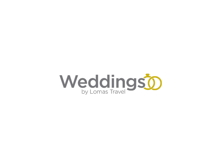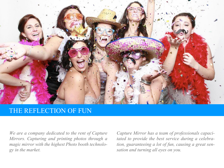

## THE REFLECTION OF FUN

*We are a company dedicated to the rent of Capture Mirrors. Capturing and printing photos through a magic mirror with the highest Photo booth technology in the market.*

*Capture Mirror has a team of professionals capacitated to provide the best service during a celebration, guaranteeing a lot of fun, causing a great sensation and turning all eyes on you.*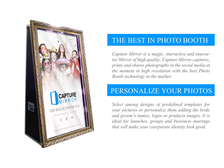

# THE BEST IN PHOTO BOOTH

*Capture Mirror is a magic, interactive and innovator Mirror of high quality. Capture Mirror captures, prints and shares photographs in the social media at the moment in high resolution with the best Photo Booth technology in the market.*

# PERSONALIZE YOUR PHOTOS

*Select among designs of predefined templates for your pictures or personalize them adding the bride and groom´s names, logos or products images. It is ideal for launches, groups and bussiness meetings that will make your coorporate identity look good.*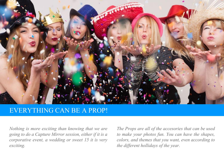

### EVERYTHING CAN BE A PROP!

*Nothing is more exciting than knowing that we are going to do a Capture Mirror session, either if it is a corporative event, a wedding or sweet 15 it is very exciting.*

*The Props are all of the accesories that can be used to make your photos fun. You can have the shapes, colors, and themes that you want, even according to the different hollidays of the year.*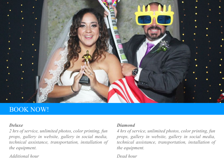

## BOOK NOW!

#### *Deluxe*

*2 hrs of service, unlimited photos, color printing, fun props, gallery in website, gallery in social media, technical assistance, transportation, installation of the equipment.* 

*Additional hour Dead hour*

### *Diamond*

*4 hrs of service, unlimited photos, color printing, fun props, gallery in website, gallery in social media, technical assistance, transportation, installation of the equipment.*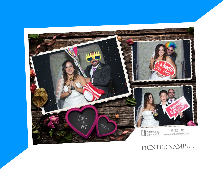

# PRINTED SAMPLE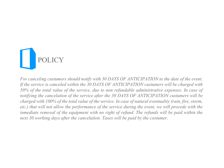

*For canceling custumers should notify with 30 DAYS OF ANTICIPATION to the date of the event. If the service is canceled within the 30 DAYS OF ANTICIPATION custumers will be charged with 50% of the total value of the service, due to non refundable administrative expenses. In case of notifying the cancelation of the service after the 30 DAYS OF ANTICIPATION custumers will be charged with 100% of the total value of the service. In case of natural eventuality (rain, fire, storm, etc.) that will not allow the performance of the service during the event, we will procede with the inmediate removal of the equipment with no right of refund. The refunds will be paid within the next 30 working days after the cancelation. Taxes will be paid by the costumer.*